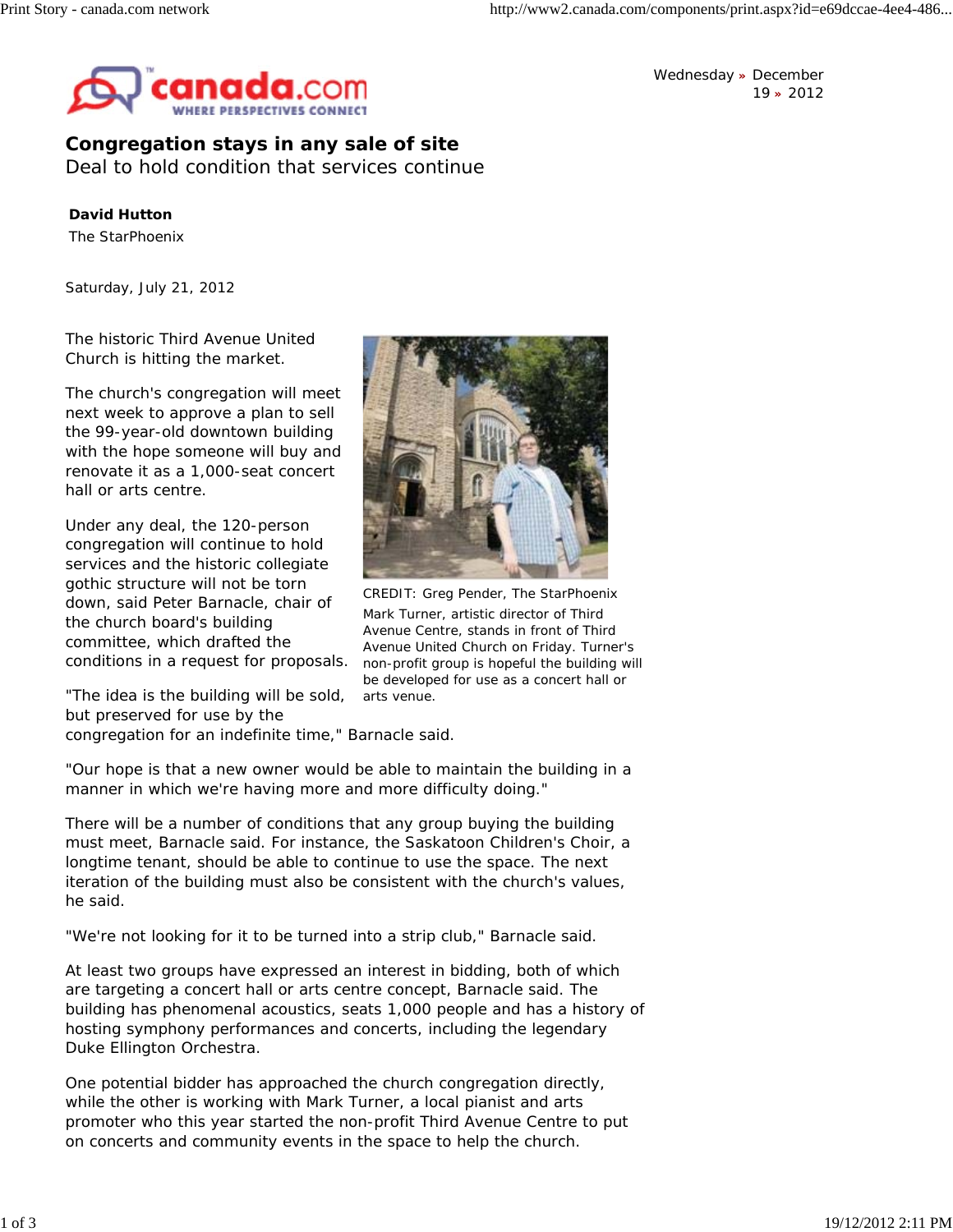

Wednesday **»** December 19 **»** 2012

## **Congregation stays in any sale of site**

Deal to hold condition that services continue

## **David Hutton**

The StarPhoenix

*Saturday, July 21, 2012*

The historic Third Avenue United Church is hitting the market.

The church's congregation will meet next week to approve a plan to sell the 99-year-old downtown building with the hope someone will buy and renovate it as a 1,000-seat concert hall or arts centre.

Under any deal, the 120-person congregation will continue to hold services and the historic collegiate gothic structure will not be torn down, said Peter Barnacle, chair of the church board's building committee, which drafted the conditions in a request for proposals.

"The idea is the building will be sold, but preserved for use by the



CREDIT: Greg Pender, The StarPhoenix Mark Turner, artistic director of Third Avenue Centre, stands in front of Third Avenue United Church on Friday. Turner's non-profit group is hopeful the building will be developed for use as a concert hall or arts venue.

congregation for an indefinite time," Barnacle said.

"Our hope is that a new owner would be able to maintain the building in a manner in which we're having more and more difficulty doing."

There will be a number of conditions that any group buying the building must meet, Barnacle said. For instance, the Saskatoon Children's Choir, a longtime tenant, should be able to continue to use the space. The next iteration of the building must also be consistent with the church's values, he said.

"We're not looking for it to be turned into a strip club," Barnacle said.

At least two groups have expressed an interest in bidding, both of which are targeting a concert hall or arts centre concept, Barnacle said. The building has phenomenal acoustics, seats 1,000 people and has a history of hosting symphony performances and concerts, including the legendary Duke Ellington Orchestra.

One potential bidder has approached the church congregation directly, while the other is working with Mark Turner, a local pianist and arts promoter who this year started the non-profit Third Avenue Centre to put on concerts and community events in the space to help the church.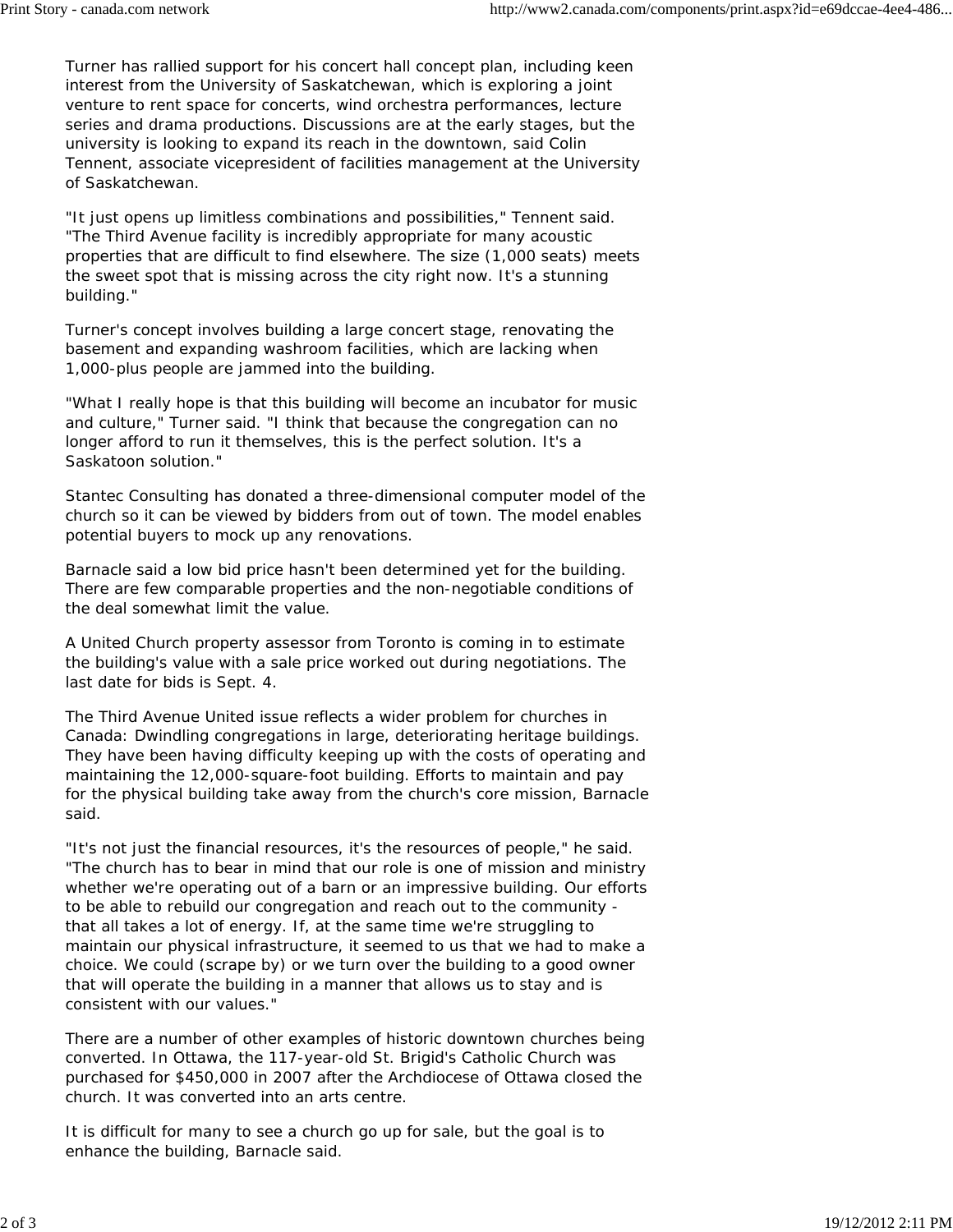Turner has rallied support for his concert hall concept plan, including keen interest from the University of Saskatchewan, which is exploring a joint venture to rent space for concerts, wind orchestra performances, lecture series and drama productions. Discussions are at the early stages, but the university is looking to expand its reach in the downtown, said Colin Tennent, associate vicepresident of facilities management at the University of Saskatchewan.

"It just opens up limitless combinations and possibilities," Tennent said. "The Third Avenue facility is incredibly appropriate for many acoustic properties that are difficult to find elsewhere. The size (1,000 seats) meets the sweet spot that is missing across the city right now. It's a stunning building."

Turner's concept involves building a large concert stage, renovating the basement and expanding washroom facilities, which are lacking when 1,000-plus people are jammed into the building.

"What I really hope is that this building will become an incubator for music and culture," Turner said. "I think that because the congregation can no longer afford to run it themselves, this is the perfect solution. It's a Saskatoon solution."

Stantec Consulting has donated a three-dimensional computer model of the church so it can be viewed by bidders from out of town. The model enables potential buyers to mock up any renovations.

Barnacle said a low bid price hasn't been determined yet for the building. There are few comparable properties and the non-negotiable conditions of the deal somewhat limit the value.

A United Church property assessor from Toronto is coming in to estimate the building's value with a sale price worked out during negotiations. The last date for bids is Sept. 4.

The Third Avenue United issue reflects a wider problem for churches in Canada: Dwindling congregations in large, deteriorating heritage buildings. They have been having difficulty keeping up with the costs of operating and maintaining the 12,000-square-foot building. Efforts to maintain and pay for the physical building take away from the church's core mission, Barnacle said.

"It's not just the financial resources, it's the resources of people," he said. "The church has to bear in mind that our role is one of mission and ministry whether we're operating out of a barn or an impressive building. Our efforts to be able to rebuild our congregation and reach out to the community that all takes a lot of energy. If, at the same time we're struggling to maintain our physical infrastructure, it seemed to us that we had to make a choice. We could (scrape by) or we turn over the building to a good owner that will operate the building in a manner that allows us to stay and is consistent with our values."

There are a number of other examples of historic downtown churches being converted. In Ottawa, the 117-year-old St. Brigid's Catholic Church was purchased for \$450,000 in 2007 after the Archdiocese of Ottawa closed the church. It was converted into an arts centre.

It is difficult for many to see a church go up for sale, but the goal is to enhance the building, Barnacle said.